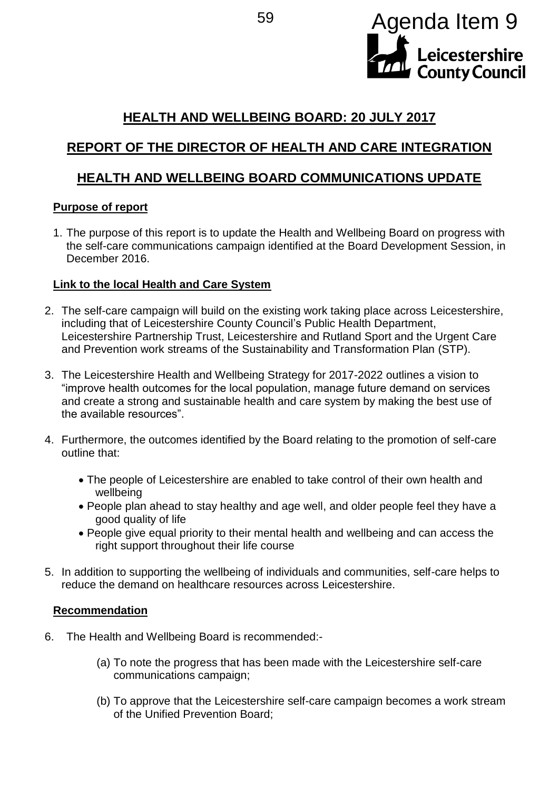

## **HEALTH AND WELLBEING BOARD: 20 JULY 2017**

# **REPORT OF THE DIRECTOR OF HEALTH AND CARE INTEGRATION**

## **HEALTH AND WELLBEING BOARD COMMUNICATIONS UPDATE**

## **Purpose of report**

1. The purpose of this report is to update the Health and Wellbeing Board on progress with the self-care communications campaign identified at the Board Development Session, in December 2016.

## **Link to the local Health and Care System**

- 2. The self-care campaign will build on the existing work taking place across Leicestershire, including that of Leicestershire County Council's Public Health Department, Leicestershire Partnership Trust, Leicestershire and Rutland Sport and the Urgent Care and Prevention work streams of the Sustainability and Transformation Plan (STP).
- 3. The Leicestershire Health and Wellbeing Strategy for 2017-2022 outlines a vision to "improve health outcomes for the local population, manage future demand on services and create a strong and sustainable health and care system by making the best use of the available resources".
- 4. Furthermore, the outcomes identified by the Board relating to the promotion of self-care outline that:
	- The people of Leicestershire are enabled to take control of their own health and wellbeing
	- People plan ahead to stay healthy and age well, and older people feel they have a good quality of life
	- People give equal priority to their mental health and wellbeing and can access the right support throughout their life course
- 5. In addition to supporting the wellbeing of individuals and communities, self-care helps to reduce the demand on healthcare resources across Leicestershire.

## **Recommendation**

- 6. The Health and Wellbeing Board is recommended:-
	- (a) To note the progress that has been made with the Leicestershire self-care communications campaign;
	- (b) To approve that the Leicestershire self-care campaign becomes a work stream of the Unified Prevention Board;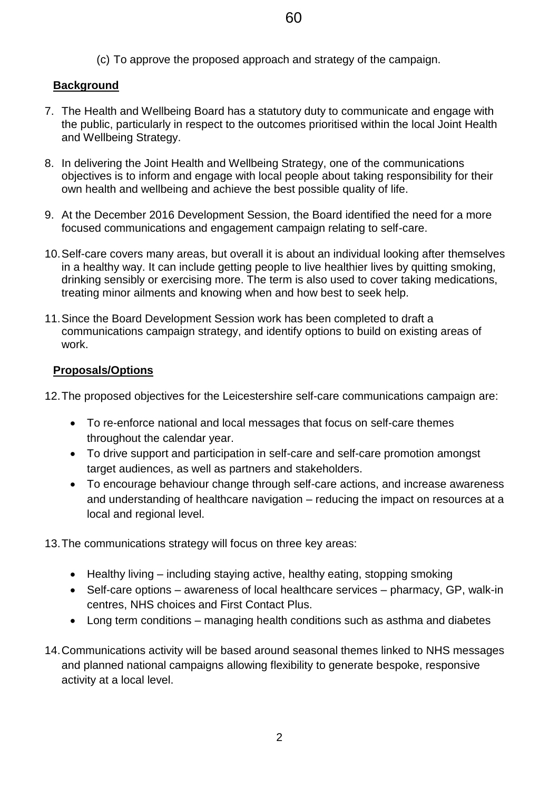(c) To approve the proposed approach and strategy of the campaign.

### **Background**

- 7. The Health and Wellbeing Board has a statutory duty to communicate and engage with the public, particularly in respect to the outcomes prioritised within the local Joint Health and Wellbeing Strategy.
- 8. In delivering the Joint Health and Wellbeing Strategy, one of the communications objectives is to inform and engage with local people about taking responsibility for their own health and wellbeing and achieve the best possible quality of life.
- 9. At the December 2016 Development Session, the Board identified the need for a more focused communications and engagement campaign relating to self-care.
- 10.Self-care covers many areas, but overall it is about an individual looking after themselves in a healthy way. It can include getting people to live healthier lives by quitting smoking, drinking sensibly or exercising more. The term is also used to cover taking medications, treating minor ailments and knowing when and how best to seek help.
- 11.Since the Board Development Session work has been completed to draft a communications campaign strategy, and identify options to build on existing areas of work.

### **Proposals/Options**

12.The proposed objectives for the Leicestershire self-care communications campaign are:

- To re-enforce national and local messages that focus on self-care themes throughout the calendar year.
- To drive support and participation in self-care and self-care promotion amongst target audiences, as well as partners and stakeholders.
- To encourage behaviour change through self-care actions, and increase awareness and understanding of healthcare navigation – reducing the impact on resources at a local and regional level.

13.The communications strategy will focus on three key areas:

- Healthy living including staying active, healthy eating, stopping smoking
- Self-care options awareness of local healthcare services pharmacy, GP, walk-in centres, NHS choices and First Contact Plus.
- Long term conditions managing health conditions such as asthma and diabetes
- 14.Communications activity will be based around seasonal themes linked to NHS messages and planned national campaigns allowing flexibility to generate bespoke, responsive activity at a local level.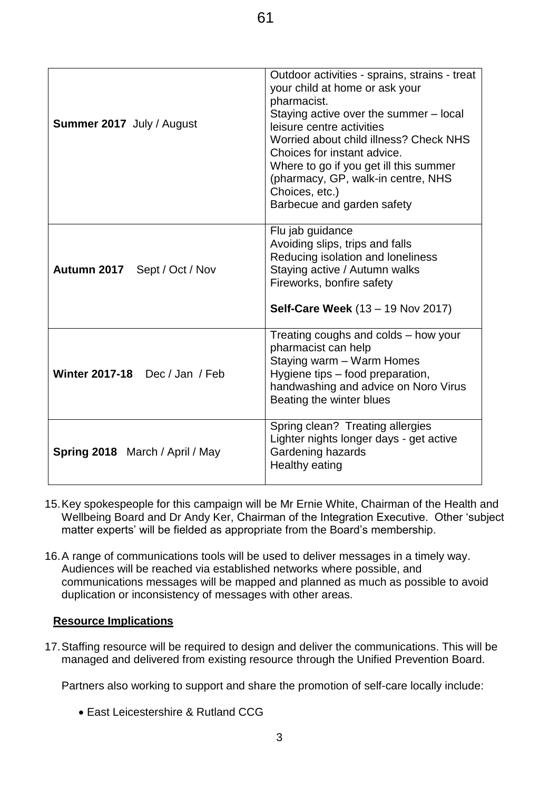| Summer 2017 July / August              | Outdoor activities - sprains, strains - treat<br>your child at home or ask your<br>pharmacist.<br>Staying active over the summer - local<br>leisure centre activities<br>Worried about child illness? Check NHS<br>Choices for instant advice.<br>Where to go if you get ill this summer<br>(pharmacy, GP, walk-in centre, NHS<br>Choices, etc.)<br>Barbecue and garden safety |
|----------------------------------------|--------------------------------------------------------------------------------------------------------------------------------------------------------------------------------------------------------------------------------------------------------------------------------------------------------------------------------------------------------------------------------|
| Autumn 2017 Sept / Oct / Nov           | Flu jab guidance<br>Avoiding slips, trips and falls<br>Reducing isolation and loneliness<br>Staying active / Autumn walks<br>Fireworks, bonfire safety<br><b>Self-Care Week</b> (13 – 19 Nov 2017)                                                                                                                                                                             |
| Winter 2017-18 Dec / Jan / Feb         | Treating coughs and colds – how your<br>pharmacist can help<br>Staying warm - Warm Homes<br>Hygiene tips - food preparation,<br>handwashing and advice on Noro Virus<br>Beating the winter blues                                                                                                                                                                               |
| <b>Spring 2018</b> March / April / May | Spring clean? Treating allergies<br>Lighter nights longer days - get active<br>Gardening hazards<br>Healthy eating                                                                                                                                                                                                                                                             |

- 15.Key spokespeople for this campaign will be Mr Ernie White, Chairman of the Health and Wellbeing Board and Dr Andy Ker, Chairman of the Integration Executive. Other 'subject matter experts' will be fielded as appropriate from the Board's membership.
- 16.A range of communications tools will be used to deliver messages in a timely way. Audiences will be reached via established networks where possible, and communications messages will be mapped and planned as much as possible to avoid duplication or inconsistency of messages with other areas.

#### **Resource Implications**

17.Staffing resource will be required to design and deliver the communications. This will be managed and delivered from existing resource through the Unified Prevention Board.

Partners also working to support and share the promotion of self-care locally include:

East Leicestershire & Rutland CCG